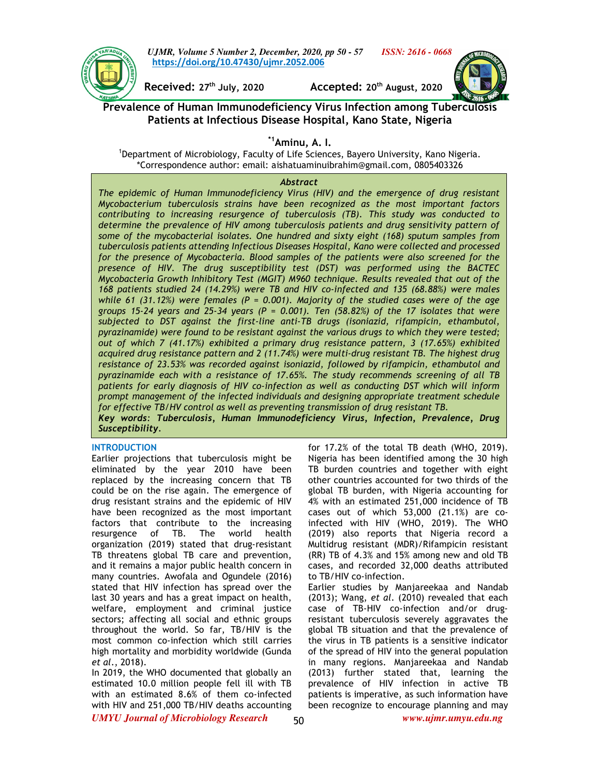

*UJMR, Volume 5 Number 2, December, 2020, pp 50 - 57 ISSN: 2616 - 0668* **https://doi.org/10.47430/ujmr.2052.006**

**Received: 27th July, 2020 Accepted: 20th August, 2020** 



**Prevalence of Human Immunodeficiency Virus Infection among Tuberculosis Patients at Infectious Disease Hospital, Kano State, Nigeria** 

# **\*1Aminu, A. I.**

<sup>1</sup>Department of Microbiology, Faculty of Life Sciences, Bayero University, Kano Nigeria. \*Correspondence author: email: aishatuaminuibrahim@gmail.com, 0805403326

### *Abstract*

*The epidemic of Human Immunodeficiency Virus (HIV) and the emergence of drug resistant Mycobacterium tuberculosis strains have been recognized as the most important factors contributing to increasing resurgence of tuberculosis (TB). This study was conducted to determine the prevalence of HIV among tuberculosis patients and drug sensitivity pattern of some of the mycobacterial isolates. One hundred and sixty eight (168) sputum samples from tuberculosis patients attending Infectious Diseases Hospital, Kano were collected and processed for the presence of Mycobacteria. Blood samples of the patients were also screened for the presence of HIV. The drug susceptibility test (DST) was performed using the BACTEC Mycobacteria Growth Inhibitory Test (MGIT) M960 technique. Results revealed that out of the 168 patients studied 24 (14.29%) were TB and HIV co-infected and 135 (68.88%) were males while 61 (31.12%) were females (P = 0.001). Majority of the studied cases were of the age groups 15-24 years and 25-34 years (P = 0.001). Ten (58.82%) of the 17 isolates that were subjected to DST against the first-line anti-TB drugs (isoniazid, rifampicin, ethambutol, pyrazinamide) were found to be resistant against the various drugs to which they were tested; out of which 7 (41.17%) exhibited a primary drug resistance pattern, 3 (17.65%) exhibited acquired drug resistance pattern and 2 (11.74%) were multi-drug resistant TB. The highest drug resistance of 23.53% was recorded against isoniazid, followed by rifampicin, ethambutol and pyrazinamide each with a resistance of 17.65%. The study recommends screening of all TB patients for early diagnosis of HIV co-infection as well as conducting DST which will inform prompt management of the infected individuals and designing appropriate treatment schedule for effective TB/HV control as well as preventing transmission of drug resistant TB. Key words: Tuberculosis, Human Immunodeficiency Virus, Infection, Prevalence, Drug Susceptibility.* 

#### **INTRODUCTION**

Earlier projections that tuberculosis might be eliminated by the year 2010 have been replaced by the increasing concern that TB could be on the rise again. The emergence of drug resistant strains and the epidemic of HIV have been recognized as the most important factors that contribute to the increasing resurgence of TB. The world health organization (2019) stated that drug-resistant TB threatens global TB care and prevention, and it remains a major public health concern in many countries. Awofala and Ogundele (2016) stated that HIV infection has spread over the last 30 years and has a great impact on health, welfare, employment and criminal justice sectors; affecting all social and ethnic groups throughout the world. So far, TB/HIV is the most common co-infection which still carries high mortality and morbidity worldwide (Gunda *et al*., 2018).

In 2019, the WHO documented that globally an estimated 10.0 million people fell ill with TB with an estimated 8.6% of them co-infected with HIV and 251,000 TB/HIV deaths accounting for 17.2% of the total TB death (WHO, 2019). Nigeria has been identified among the 30 high TB burden countries and together with eight other countries accounted for two thirds of the global TB burden, with Nigeria accounting for 4% with an estimated 251,000 incidence of TB cases out of which 53,000 (21.1%) are coinfected with HIV (WHO, 2019). The WHO (2019) also reports that Nigeria record a Multidrug resistant (MDR)/Rifampicin resistant (RR) TB of 4.3% and 15% among new and old TB cases, and recorded 32,000 deaths attributed to TB/HIV co-infection.

Earlier studies by Manjareekaa and Nandab (2013); Wang, *et al*. (2010) revealed that each case of TB-HIV co-infection and/or drugresistant tuberculosis severely aggravates the global TB situation and that the prevalence of the virus in TB patients is a sensitive indicator of the spread of HIV into the general population in many regions. Manjareekaa and Nandab (2013) further stated that, learning the prevalence of HIV infection in active TB patients is imperative, as such information have been recognize to encourage planning and may

*UMYU Journal of Microbiology Research www.ujmr.umyu.edu.ng*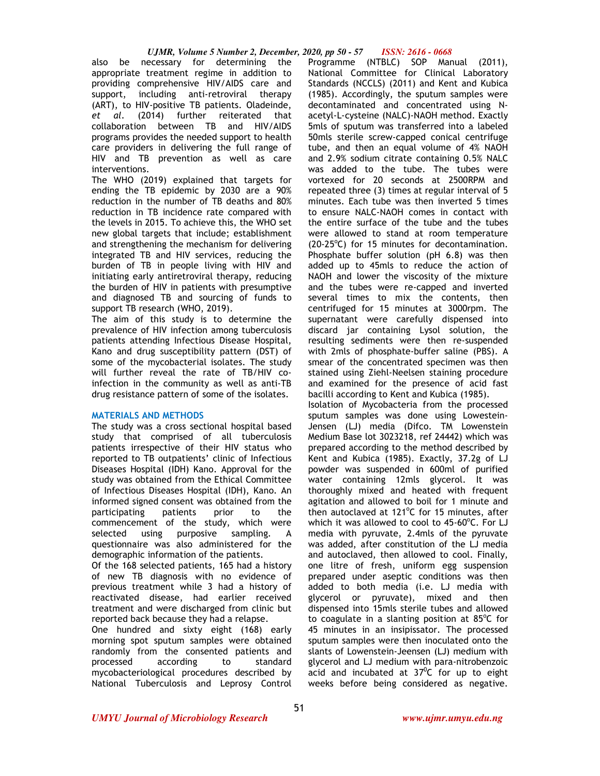also be necessary for determining the appropriate treatment regime in addition to providing comprehensive HIV/AIDS care and support, including anti-retroviral therapy (ART), to HIV-positive TB patients. Oladeinde, *et al*. (2014) further reiterated that collaboration between TB and HIV/AIDS programs provides the needed support to health care providers in delivering the full range of HIV and TB prevention as well as care interventions.

The WHO (2019) explained that targets for ending the TB epidemic by 2030 are a 90% reduction in the number of TB deaths and 80% reduction in TB incidence rate compared with the levels in 2015. To achieve this, the WHO set new global targets that include; establishment and strengthening the mechanism for delivering integrated TB and HIV services, reducing the burden of TB in people living with HIV and initiating early antiretroviral therapy, reducing the burden of HIV in patients with presumptive and diagnosed TB and sourcing of funds to support TB research (WHO, 2019).

The aim of this study is to determine the prevalence of HIV infection among tuberculosis patients attending Infectious Disease Hospital, Kano and drug susceptibility pattern (DST) of some of the mycobacterial isolates. The study will further reveal the rate of TB/HIV coinfection in the community as well as anti-TB drug resistance pattern of some of the isolates.

#### **MATERIALS AND METHODS**

The study was a cross sectional hospital based study that comprised of all tuberculosis patients irrespective of their HIV status who reported to TB outpatients' clinic of Infectious Diseases Hospital (IDH) Kano. Approval for the study was obtained from the Ethical Committee of Infectious Diseases Hospital (IDH), Kano. An informed signed consent was obtained from the participating patients prior to the commencement of the study, which were selected using purposive sampling. A questionnaire was also administered for the demographic information of the patients.

Of the 168 selected patients, 165 had a history of new TB diagnosis with no evidence of previous treatment while 3 had a history of reactivated disease, had earlier received treatment and were discharged from clinic but reported back because they had a relapse.

One hundred and sixty eight (168) early morning spot sputum samples were obtained randomly from the consented patients and processed according to standard mycobacteriological procedures described by National Tuberculosis and Leprosy Control

Programme (NTBLC) SOP Manual (2011), National Committee for Clinical Laboratory Standards (NCCLS) (2011) and Kent and Kubica (1985). Accordingly, the sputum samples were decontaminated and concentrated using Nacetyl-L-cysteine (NALC)-NAOH method. Exactly 5mls of sputum was transferred into a labeled 50mls sterile screw-capped conical centrifuge tube, and then an equal volume of 4% NAOH and 2.9% sodium citrate containing 0.5% NALC was added to the tube. The tubes were vortexed for 20 seconds at 2500RPM and repeated three (3) times at regular interval of 5 minutes. Each tube was then inverted 5 times to ensure NALC-NAOH comes in contact with the entire surface of the tube and the tubes were allowed to stand at room temperature  $(20-25^{\circ}C)$  for 15 minutes for decontamination. Phosphate buffer solution (pH 6.8) was then added up to 45mls to reduce the action of NAOH and lower the viscosity of the mixture and the tubes were re-capped and inverted several times to mix the contents, then centrifuged for 15 minutes at 3000rpm. The supernatant were carefully dispensed into discard jar containing Lysol solution, the resulting sediments were then re-suspended with 2mls of phosphate-buffer saline (PBS). A smear of the concentrated specimen was then stained using Ziehl-Neelsen staining procedure and examined for the presence of acid fast bacilli according to Kent and Kubica (1985).

Isolation of Mycobacteria from the processed sputum samples was done using Lowestein-Jensen (LJ) media (Difco. TM Lowenstein Medium Base lot 3023218, ref 24442) which was prepared according to the method described by Kent and Kubica (1985). Exactly, 37.2g of LJ powder was suspended in 600ml of purified water containing 12mls glycerol. It was thoroughly mixed and heated with frequent agitation and allowed to boil for 1 minute and then autoclaved at  $121^{\circ}$ C for 15 minutes, after which it was allowed to cool to  $45{\cdot}60^{\circ}$ C. For LJ media with pyruvate, 2.4mls of the pyruvate was added, after constitution of the LJ media and autoclaved, then allowed to cool. Finally, one litre of fresh, uniform egg suspension prepared under aseptic conditions was then added to both media (i.e. LJ media with glycerol or pyruvate), mixed and then dispensed into 15mls sterile tubes and allowed to coagulate in a slanting position at  $85^{\circ}$ C for 45 minutes in an insipissator. The processed sputum samples were then inoculated onto the slants of Lowenstein-Jeensen (LJ) medium with glycerol and LJ medium with para-nitrobenzoic acid and incubated at  $37^{\circ}$ C for up to eight weeks before being considered as negative.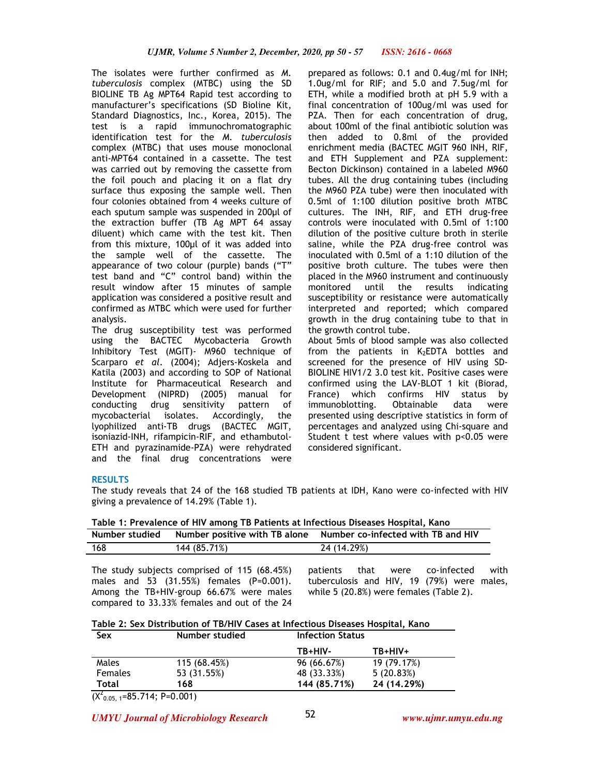The isolates were further confirmed as *M. tuberculosis* complex (MTBC) using the SD BIOLINE TB Ag MPT64 Rapid test according to manufacturer's specifications (SD Bioline Kit, Standard Diagnostics, Inc., Korea, 2015). The test is a rapid immunochromatographic identification test for the *M. tuberculosis*  complex (MTBC) that uses mouse monoclonal anti-MPT64 contained in a cassette. The test was carried out by removing the cassette from the foil pouch and placing it on a flat dry surface thus exposing the sample well. Then four colonies obtained from 4 weeks culture of each sputum sample was suspended in 200µl of the extraction buffer (TB Ag MPT 64 assay diluent) which came with the test kit. Then from this mixture, 100µl of it was added into the sample well of the cassette. The appearance of two colour (purple) bands ("T" test band and "C" control band) within the result window after 15 minutes of sample application was considered a positive result and confirmed as MTBC which were used for further analysis.

The drug susceptibility test was performed using the BACTEC Mycobacteria Growth Inhibitory Test (MGIT)- M960 technique of Scarparo *et al*. (2004); Adjers-Koskela and Katila (2003) and according to SOP of National Institute for Pharmaceutical Research and Development (NIPRD) (2005) manual for conducting drug sensitivity pattern of mycobacterial isolates. Accordingly, the lyophilized anti-TB drugs (BACTEC MGIT, isoniazid-INH, rifampicin-RIF, and ethambutol-ETH and pyrazinamide-PZA) were rehydrated and the final drug concentrations were prepared as follows: 0.1 and 0.4ug/ml for INH; 1.0ug/ml for RIF; and 5.0 and 7.5ug/ml for ETH, while a modified broth at pH 5.9 with a final concentration of 100ug/ml was used for PZA. Then for each concentration of drug, about 100ml of the final antibiotic solution was then added to 0.8ml of the provided enrichment media (BACTEC MGIT 960 INH, RIF, and ETH Supplement and PZA supplement: Becton Dickinson) contained in a labeled M960 tubes. All the drug containing tubes (including the M960 PZA tube) were then inoculated with 0.5ml of 1:100 dilution positive broth MTBC cultures. The INH, RIF, and ETH drug-free controls were inoculated with 0.5ml of 1:100 dilution of the positive culture broth in sterile saline, while the PZA drug-free control was inoculated with 0.5ml of a 1:10 dilution of the positive broth culture. The tubes were then placed in the M960 instrument and continuously monitored until the results indicating susceptibility or resistance were automatically interpreted and reported; which compared growth in the drug containing tube to that in the growth control tube.

About 5mls of blood sample was also collected from the patients in  $K_2$ EDTA bottles and screened for the presence of HIV using SD-BIOLINE HIV1/2 3.0 test kit. Positive cases were confirmed using the LAV-BLOT 1 kit (Biorad, France) which confirms HIV status by<br>immunoblotting. Obtainable data were immunoblotting. Obtainable data were presented using descriptive statistics in form of percentages and analyzed using Chi-square and Student t test where values with p<0.05 were considered significant.

## **RESULTS**

The study reveals that 24 of the 168 studied TB patients at IDH, Kano were co-infected with HIV giving a prevalence of 14.29% (Table 1).

**Table 1: Prevalence of HIV among TB Patients at Infectious Diseases Hospital, Kano** 

| Number studied |              | Number positive with TB alone Number co-infected with TB and HIV |
|----------------|--------------|------------------------------------------------------------------|
| 168            | 144 (85.71%) | 24 (14.29%)                                                      |
|                |              |                                                                  |

The study subjects comprised of 115 (68.45%) males and 53 (31.55%) females (P=0.001). Among the TB+HIV-group 66.67% were males compared to 33.33% females and out of the 24

patients that were co-infected with tuberculosis and HIV, 19 (79%) were males, while 5 (20.8%) were females (Table 2).

| Sex                             | Number studied | <b>Infection Status</b> |             |  |
|---------------------------------|----------------|-------------------------|-------------|--|
|                                 |                | TB+HIV-                 | TB+HIV+     |  |
| Males                           | 115 (68.45%)   | 96 (66.67%)             | 19 (79.17%) |  |
| <b>Females</b>                  | 53 (31.55%)    | 48 (33.33%)             | 5(20.83%)   |  |
| Total                           | 168            | 144 (85,71%)            | 24 (14.29%) |  |
| $\overline{a}$<br>$\sim$ $\sim$ | ------         |                         |             |  |

 $(X<sup>2</sup><sub>0.05, 1</sub>=85.714; P=0.001)$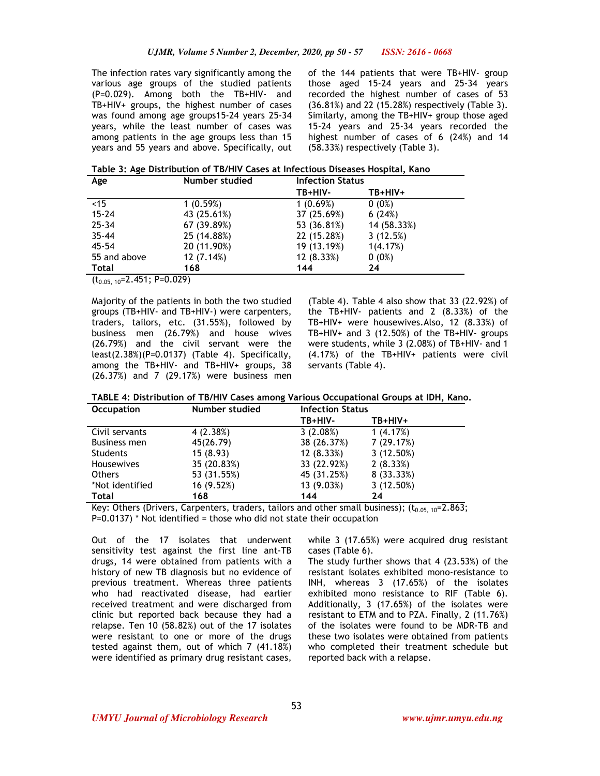The infection rates vary significantly among the various age groups of the studied patients (P=0.029). Among both the TB+HIV- and TB+HIV+ groups, the highest number of cases was found among age groups15-24 years 25-34 years, while the least number of cases was among patients in the age groups less than 15 years and 55 years and above. Specifically, out of the 144 patients that were TB+HIV- group those aged 15-24 years and 25-34 years recorded the highest number of cases of 53 (36.81%) and 22 (15.28%) respectively (Table 3). Similarly, among the TB+HIV+ group those aged 15-24 years and 25-34 years recorded the highest number of cases of 6 (24%) and 14 (58.33%) respectively (Table 3).

**Table 3: Age Distribution of TB/HIV Cases at Infectious Diseases Hospital, Kano** 

| Age          | Number studied | <b>Infection Status</b> |             |  |
|--------------|----------------|-------------------------|-------------|--|
|              |                | TB+HIV-                 | TB+HIV+     |  |
| ~15          | 1(0.59%)       | 1(0.69%)                | $0(0\%)$    |  |
| $15 - 24$    | 43 (25.61%)    | 37 (25.69%)             | 6(24%)      |  |
| $25 - 34$    | 67 (39.89%)    | 53 (36.81%)             | 14 (58.33%) |  |
| $35 - 44$    | 25 (14.88%)    | 22 (15.28%)             | 3(12.5%)    |  |
| $45 - 54$    | 20 (11.90%)    | 19 (13.19%)             | 1(4.17%)    |  |
| 55 and above | 12(7.14%)      | 12(8.33%)               | $0(0\%)$    |  |
| Total        | 168            | 144                     | 24          |  |

 $(t_{0.05}, \overline{10=2.451}; P=0.029)$ 

Majority of the patients in both the two studied groups (TB+HIV- and TB+HIV-) were carpenters, traders, tailors, etc. (31.55%), followed by business men (26.79%) and house wives (26.79%) and the civil servant were the least(2.38%)(P=0.0137) (Table 4). Specifically, among the TB+HIV- and TB+HIV+ groups, 38 (26.37%) and 7 (29.17%) were business men

(Table 4). Table 4 also show that 33 (22.92%) of the TB+HIV- patients and 2 (8.33%) of the TB+HIV+ were housewives.Also, 12 (8.33%) of TB+HIV+ and 3 (12.50%) of the TB+HIV- groups were students, while 3 (2.08%) of TB+HIV- and 1 (4.17%) of the TB+HIV+ patients were civil servants (Table 4).

| TABLE 4: Distribution of TB/HIV Cases among Various Occupational Groups at IDH, Kano. |  |  |
|---------------------------------------------------------------------------------------|--|--|
|                                                                                       |  |  |

| <b>Occupation</b> | Number studied | <b>Infection Status</b> |            |
|-------------------|----------------|-------------------------|------------|
|                   |                | TB+HIV-                 | TB+HIV+    |
| Civil servants    | 4(2.38%)       | 3(2.08%)                | 1(4.17%)   |
| Business men      | 45(26.79)      | 38 (26.37%)             | 7 (29.17%) |
| Students          | 15(8.93)       | 12(8.33%)               | 3(12.50%)  |
| <b>Housewives</b> | 35 (20.83%)    | 33 (22.92%)             | 2(8.33%)   |
| <b>Others</b>     | 53 (31.55%)    | 45 (31.25%)             | 8 (33.33%) |
| *Not identified   | 16 (9.52%)     | 13 (9.03%)              | 3(12.50%)  |
| <b>Total</b>      | 168            | 144                     | 24         |

Key: Others (Drivers, Carpenters, traders, tailors and other small business);  $(t_{0.05, 10}=2.863;$  $P=0.0137$ ) \* Not identified = those who did not state their occupation

Out of the 17 isolates that underwent sensitivity test against the first line ant-TB drugs, 14 were obtained from patients with a history of new TB diagnosis but no evidence of previous treatment. Whereas three patients who had reactivated disease, had earlier received treatment and were discharged from clinic but reported back because they had a relapse. Ten 10 (58.82%) out of the 17 isolates were resistant to one or more of the drugs tested against them, out of which 7 (41.18%) were identified as primary drug resistant cases,

while 3 (17.65%) were acquired drug resistant cases (Table 6).

The study further shows that 4 (23.53%) of the resistant isolates exhibited mono-resistance to INH, whereas 3 (17.65%) of the isolates exhibited mono resistance to RIF (Table 6). Additionally, 3 (17.65%) of the isolates were resistant to ETM and to PZA. Finally, 2 (11.76%) of the isolates were found to be MDR-TB and these two isolates were obtained from patients who completed their treatment schedule but reported back with a relapse.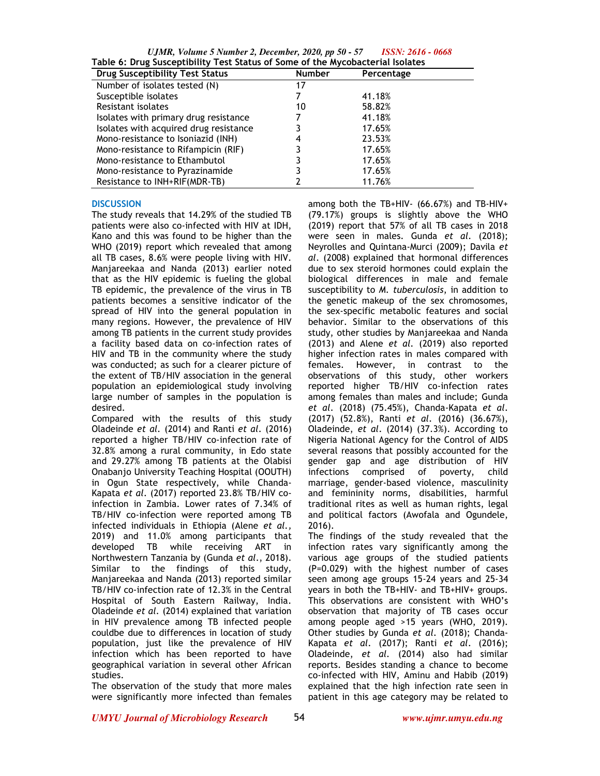*UJMR, Volume 5 Number 2, December, 2020, pp 50 - 57 ISSN: 2616 - 0668*

| Table 6: Drug Susceptibility Test Status of Some of the Mycobacterial Isolates |               |            |  |
|--------------------------------------------------------------------------------|---------------|------------|--|
| <b>Drug Susceptibility Test Status</b>                                         | <b>Number</b> | Percentage |  |
| Number of isolates tested (N)                                                  | 17            |            |  |
| Susceptible isolates                                                           |               | 41.18%     |  |
| Resistant isolates                                                             | 10            | 58.82%     |  |
| Isolates with primary drug resistance                                          |               | 41.18%     |  |
| Isolates with acquired drug resistance                                         |               | 17.65%     |  |
| Mono-resistance to Isoniazid (INH)                                             |               | 23.53%     |  |
| Mono-resistance to Rifampicin (RIF)                                            |               | 17.65%     |  |
| Mono-resistance to Ethambutol                                                  |               | 17.65%     |  |
| Mono-resistance to Pyrazinamide                                                |               | 17.65%     |  |
| Resistance to INH+RIF(MDR-TB)                                                  |               | 11.76%     |  |

#### **DISCUSSION**

The study reveals that 14.29% of the studied TB patients were also co-infected with HIV at IDH, Kano and this was found to be higher than the WHO (2019) report which revealed that among all TB cases, 8.6% were people living with HIV. Manjareekaa and Nanda (2013) earlier noted that as the HIV epidemic is fueling the global TB epidemic, the prevalence of the virus in TB patients becomes a sensitive indicator of the spread of HIV into the general population in many regions. However, the prevalence of HIV among TB patients in the current study provides a facility based data on co-infection rates of HIV and TB in the community where the study was conducted; as such for a clearer picture of the extent of TB/HIV association in the general population an epidemiological study involving large number of samples in the population is desired.

Compared with the results of this study Oladeinde *et al.* (2014) and Ranti *et al*. (2016) reported a higher TB/HIV co-infection rate of 32.8% among a rural community, in Edo state and 29.27% among TB patients at the Olabisi Onabanjo University Teaching Hospital (OOUTH) in Ogun State respectively, while Chanda-Kapata *et al*. (2017) reported 23.8% TB/HIV coinfection in Zambia. Lower rates of 7.34% of TB/HIV co-infection were reported among TB infected individuals in Ethiopia (Alene *et al.,*  2019) and 11.0% among participants that developed TB while receiving ART in Northwestern Tanzania by (Gunda *et al*., 2018). Similar to the findings of this study, Manjareekaa and Nanda (2013) reported similar TB/HIV co-infection rate of 12.3% in the Central Hospital of South Eastern Railway, India. Oladeinde *et al.* (2014) explained that variation in HIV prevalence among TB infected people couldbe due to differences in location of study population, just like the prevalence of HIV infection which has been reported to have geographical variation in several other African studies.

The observation of the study that more males were significantly more infected than females among both the TB+HIV- (66.67%) and TB-HIV+ (79.17%) groups is slightly above the WHO (2019) report that 57% of all TB cases in 2018 were seen in males. Gunda *et al*. (2018); Neyrolles and Quintana-Murci (2009); Davila *et al*. (2008) explained that hormonal differences due to sex steroid hormones could explain the biological differences in male and female susceptibility to *M. tuberculosis*, in addition to the genetic makeup of the sex chromosomes, the sex-specific metabolic features and social behavior. Similar to the observations of this study, other studies by Manjareekaa and Nanda (2013) and Alene *et al.* (2019) also reported higher infection rates in males compared with females. However, in contrast to the observations of this study, other workers reported higher TB/HIV co-infection rates among females than males and include; Gunda *et al*. (2018) (75.45%), Chanda-Kapata *et al*. (2017) (52.8%), Ranti *et al*. (2016) (36.67%), Oladeinde, *et al*. (2014) (37.3%). According to Nigeria National Agency for the Control of AIDS several reasons that possibly accounted for the gender gap and age distribution of HIV infections comprised of poverty, child marriage, gender-based violence, masculinity and femininity norms, disabilities, harmful traditional rites as well as human rights, legal and political factors (Awofala and Ogundele, 2016).

The findings of the study revealed that the infection rates vary significantly among the various age groups of the studied patients (P=0.029) with the highest number of cases seen among age groups 15-24 years and 25-34 years in both the TB+HIV- and TB+HIV+ groups. This observations are consistent with WHO's observation that majority of TB cases occur among people aged >15 years (WHO, 2019). Other studies by Gunda *et al*. (2018); Chanda-Kapata *et al*. (2017); Ranti *et al*. (2016); Oladeinde, *et al.* (2014) also had similar reports. Besides standing a chance to become co-infected with HIV, Aminu and Habib (2019) explained that the high infection rate seen in patient in this age category may be related to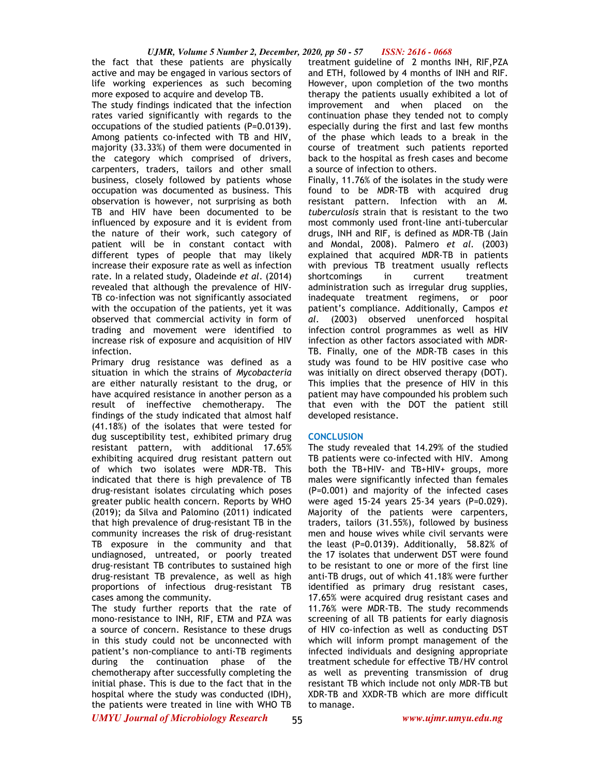#### *UJMR, Volume 5 Number 2, December, 2020, pp 50 - 57 ISSN: 2616 - 0668*

the fact that these patients are physically active and may be engaged in various sectors of life working experiences as such becoming more exposed to acquire and develop TB.

The study findings indicated that the infection rates varied significantly with regards to the occupations of the studied patients (P=0.0139). Among patients co-infected with TB and HIV, majority (33.33%) of them were documented in the category which comprised of drivers, carpenters, traders, tailors and other small business, closely followed by patients whose occupation was documented as business. This observation is however, not surprising as both TB and HIV have been documented to be influenced by exposure and it is evident from the nature of their work, such category of patient will be in constant contact with different types of people that may likely increase their exposure rate as well as infection rate. In a related study, Oladeinde *et al*. (2014) revealed that although the prevalence of HIV-TB co-infection was not significantly associated with the occupation of the patients, yet it was observed that commercial activity in form of trading and movement were identified to increase risk of exposure and acquisition of HIV infection.

Primary drug resistance was defined as a situation in which the strains of *Mycobacteria*  are either naturally resistant to the drug, or have acquired resistance in another person as a result of ineffective chemotherapy. The findings of the study indicated that almost half (41.18%) of the isolates that were tested for dug susceptibility test, exhibited primary drug resistant pattern, with additional 17.65% exhibiting acquired drug resistant pattern out of which two isolates were MDR-TB. This indicated that there is high prevalence of TB drug-resistant isolates circulating which poses greater public health concern. Reports by WHO (2019); da Silva and Palomino (2011) indicated that high prevalence of drug-resistant TB in the community increases the risk of drug-resistant TB exposure in the community and that undiagnosed, untreated, or poorly treated drug-resistant TB contributes to sustained high drug-resistant TB prevalence, as well as high proportions of infectious drug-resistant TB cases among the community.

The study further reports that the rate of mono-resistance to INH, RIF, ETM and PZA was a source of concern. Resistance to these drugs in this study could not be unconnected with patient's non-compliance to anti-TB regiments during the continuation phase of the chemotherapy after successfully completing the initial phase. This is due to the fact that in the hospital where the study was conducted (IDH), the patients were treated in line with WHO TB

treatment guideline of 2 months INH, RIF,PZA and ETH, followed by 4 months of INH and RIF. However, upon completion of the two months therapy the patients usually exhibited a lot of improvement and when placed on the continuation phase they tended not to comply especially during the first and last few months of the phase which leads to a break in the course of treatment such patients reported back to the hospital as fresh cases and become a source of infection to others.

Finally, 11.76% of the isolates in the study were found to be MDR-TB with acquired drug resistant pattern. Infection with an *M. tuberculosis* strain that is resistant to the two most commonly used front-line anti-tubercular drugs, INH and RIF, is defined as MDR-TB (Jain and Mondal, 2008). Palmero *et al.* (2003) explained that acquired MDR-TB in patients with previous TB treatment usually reflects shortcomings in current treatment administration such as irregular drug supplies, inadequate treatment regimens, or poor patient's compliance. Additionally, Campos *et al.* (2003) observed unenforced hospital infection control programmes as well as HIV infection as other factors associated with MDR-TB. Finally, one of the MDR-TB cases in this study was found to be HIV positive case who was initially on direct observed therapy (DOT). This implies that the presence of HIV in this patient may have compounded his problem such that even with the DOT the patient still developed resistance.

## **CONCLUSION**

The study revealed that 14.29% of the studied TB patients were co-infected with HIV. Among both the TB+HIV- and TB+HIV+ groups, more males were significantly infected than females (P=0.001) and majority of the infected cases were aged 15-24 years 25-34 years (P=0.029). Majority of the patients were carpenters, traders, tailors (31.55%), followed by business men and house wives while civil servants were the least (P=0.0139). Additionally, 58.82% of the 17 isolates that underwent DST were found to be resistant to one or more of the first line anti-TB drugs, out of which 41.18% were further identified as primary drug resistant cases, 17.65% were acquired drug resistant cases and 11.76% were MDR-TB. The study recommends screening of all TB patients for early diagnosis of HIV co-infection as well as conducting DST which will inform prompt management of the infected individuals and designing appropriate treatment schedule for effective TB/HV control as well as preventing transmission of drug resistant TB which include not only MDR-TB but XDR-TB and XXDR-TB which are more difficult to manage.

*UMYU Journal of Microbiology Research www.ujmr.umyu.edu.ng*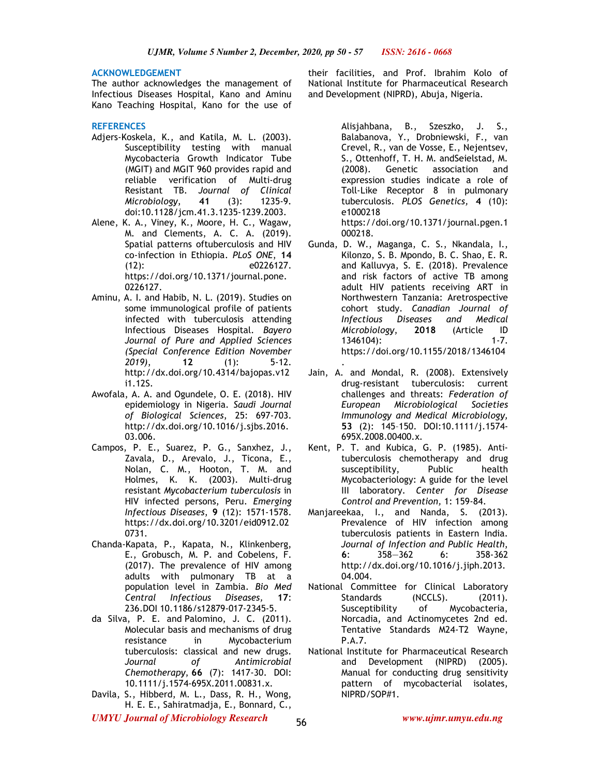#### **ACKNOWLEDGEMENT**

The author acknowledges the management of Infectious Diseases Hospital, Kano and Aminu Kano Teaching Hospital, Kano for the use of

### **REFERENCES**

- Adjers-Koskela, K., and Katila, M. L. (2003). Susceptibility testing with manual Mycobacteria Growth Indicator Tube (MGIT) and MGIT 960 provides rapid and reliable verification of Multi-drug Resistant TB. *Journal of Clinical Microbiology*, **41** (3): 1235-9. doi:10.1128/jcm.41.3.1235-1239.2003.
- Alene, K. A., Viney, K., Moore, H. C., Wagaw, M. and Clements, A. C. A. (2019). Spatial patterns oftuberculosis and HIV co-infection in Ethiopia. *PLoS ONE*, **14** (12): e0226127. https://doi.org/10.1371/journal.pone. 0226127.
- Aminu, A. I. and Habib, N. L. (2019). Studies on some immunological profile of patients infected with tuberculosis attending Infectious Diseases Hospital. *Bayero Journal of Pure and Applied Sciences (Special Conference Edition November 2019)*, **12** (1): 5-12. http://dx.doi.org/10.4314/bajopas.v12 i1.12S.
- Awofala, A. A. and Ogundele, O. E. (2018). HIV epidemiology in Nigeria. *Saudi Journal of Biological Sciences*, 25: 697-703. http://dx.doi.org/10.1016/j.sjbs.2016. 03.006.
- Campos, P. E., Suarez, P. G., Sanxhez, J., Zavala, D., Arevalo, J., Ticona, E., Nolan, C. M., Hooton, T. M. and Holmes, K. K. (2003). Multi-drug resistant *Mycobacterium tuberculosis* in HIV infected persons, Peru. *Emerging Infectious Diseases*, **9** (12): 1571-1578. https://dx.doi.org/10.3201/eid0912.02 0731.
- Chanda-Kapata, P., Kapata, N., Klinkenberg, E., Grobusch, M. P. and Cobelens, F. (2017). The prevalence of HIV among adults with pulmonary TB at a population level in Zambia. *Bio Med Central Infectious Diseases,* **17**: 236.DOI 10.1186/s12879-017-2345-5.
- da Silva, P. E. and Palomino, J. C. (2011). Molecular basis and mechanisms of drug resistance in Mycobacterium tuberculosis: classical and new drugs. *Journal of Antimicrobial Chemotherapy*, **66** (7): 1417-30. DOI: 10.1111/j.1574-695X.2011.00831.x.
- Davila, S., Hibberd, M. L., Dass, R. H., Wong, H. E. E., Sahiratmadja, E., Bonnard, C.,

their facilities, and Prof. Ibrahim Kolo of National Institute for Pharmaceutical Research and Development (NIPRD), Abuja, Nigeria.

> Alisjahbana, B., Szeszko, J. S., Balabanova, Y., Drobniewski, F., van Crevel, R., van de Vosse, E., Nejentsev, S., Ottenhoff, T. H. M. andSeielstad, M. (2008). Genetic association and expression studies indicate a role of Toll-Like Receptor 8 in pulmonary tuberculosis. *PLOS Genetics,* **4** (10): e1000218 https://doi.org/10.1371/journal.pgen.1

000218.

- Gunda, D. W., Maganga, C. S., Nkandala, I., Kilonzo, S. B. Mpondo, B. C. Shao, E. R. and Kalluvya, S. E. (2018). Prevalence and risk factors of active TB among adult HIV patients receiving ART in Northwestern Tanzania: Aretrospective cohort study. *Canadian Journal of Infectious Diseases and Medical Microbiology*, **2018** (Article ID 1346104): https://doi.org/10.1155/2018/1346104
- . Jain, A. and Mondal, R. (2008). Extensively drug-resistant tuberculosis: current challenges and threats: *Federation of European Microbiological Societies Immunology and Medical Microbiology,* **53** (2): 145–150. DOI:10.1111/j.1574- 695X.2008.00400.x.
- Kent, P. T. and Kubica, G. P. (1985). Antituberculosis chemotherapy and drug susceptibility, Public health Mycobacteriology: A guide for the level III laboratory. *Center for Disease Control and Prevention,* 1: 159-84.
- Manjareekaa, I., and Nanda, S. (2013). Prevalence of HIV infection among tuberculosis patients in Eastern India. *Journal of Infection and Public Health*, **6**: 358—362 6: 358-362 http://dx.doi.org/10.1016/j.jiph.2013. 04.004.
- National Committee for Clinical Laboratory Standards (NCCLS). (2011).<br>Susceptibility of Mycobacteria, of Mycobacteria, Norcadia, and Actinomycetes 2nd ed. Tentative Standards M24-T2 Wayne, P.A.7.
- National Institute for Pharmaceutical Research and Development (NIPRD) (2005). Manual for conducting drug sensitivity pattern of mycobacterial isolates, NIPRD/SOP#1.